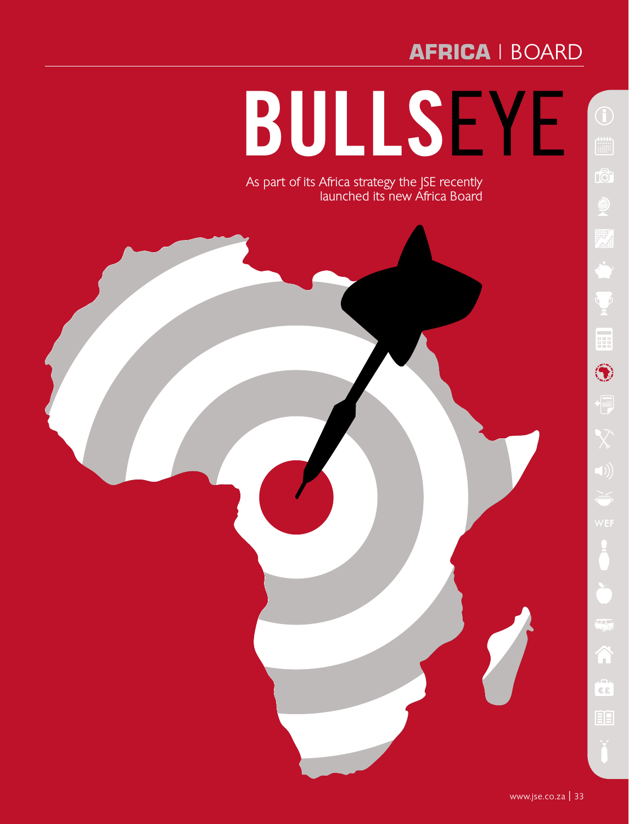## **africa** | board **africa**

# **Bulls**eye

As part of its Africa strategy the JSE recently launched its new Africa Board

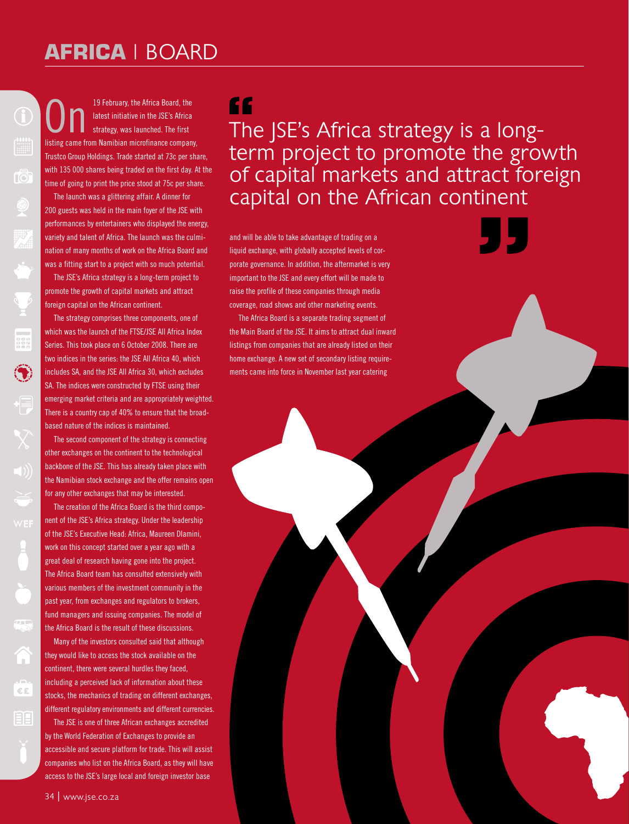### **africa** | board **africa**

19 February, the Africa Board, the latest initiative in the JSE's Africa strategy, was launched. The first listing came from Namibian microfinance company, Trustco Group Holdings. Trade started at 73c per share, with 135 000 shares being traded on the first day. At the time of going to print the price stood at 75c per share.

rð

 $\left( \bullet \right)$ 

 $\frac{1}{\epsilon}$ 

间日

The launch was a glittering affair. A dinner for 200 guests was held in the main foyer of the JSE with performances by entertainers who displayed the energy, variety and talent of Africa. The launch was the culmination of many months of work on the Africa Board and was a fitting start to a project with so much potential.

The JSE's Africa strategy is a long-term project to promote the growth of capital markets and attract foreign capital on the African continent.

The strategy comprises three components, one of which was the launch of the FTSE/JSE All Africa Index Series. This took place on 6 October 2008. There are two indices in the series: the JSE All Africa 40, which includes SA, and the JSE All Africa 30, which excludes SA. The indices were constructed by FTSE using their emerging market criteria and are appropriately weighted. There is a country cap of 40% to ensure that the broadbased nature of the indices is maintained.

The second component of the strategy is connecting other exchanges on the continent to the technological backbone of the JSE. This has already taken place with the Namibian stock exchange and the offer remains open for any other exchanges that may be interested.

The creation of the Africa Board is the third component of the JSE's Africa strategy. Under the leadership of the JSE's Executive Head: Africa, Maureen Dlamini, work on this concept started over a year ago with a great deal of research having gone into the project. The Africa Board team has consulted extensively with various members of the investment community in the past year, from exchanges and regulators to brokers, fund managers and issuing companies. The model of the Africa Board is the result of these discussions.

Many of the investors consulted said that although they would like to access the stock available on the continent, there were several hurdles they faced, including a perceived lack of information about these stocks, the mechanics of trading on different exchanges, different regulatory environments and different currencies.

The JSE is one of three African exchanges accredited by the World Federation of Exchanges to provide an accessible and secure platform for trade. This will assist companies who list on the Africa Board, as they will have access to the JSE's large local and foreign investor base

#### ££

The JSE's Africa strategy is a longterm project to promote the growth of capital markets and attract foreign capital on the African continent

and will be able to take advantage of trading on a liquid exchange, with globally accepted levels of corporate governance. In addition, the aftermarket is very important to the JSE and every effort will be made to raise the profile of these companies through media coverage, road shows and other marketing events.

The Africa Board is a separate trading segment of the Main Board of the JSE. It aims to attract dual inward listings from companies that are already listed on their home exchange. A new set of secondary listing requirements came into force in November last year catering